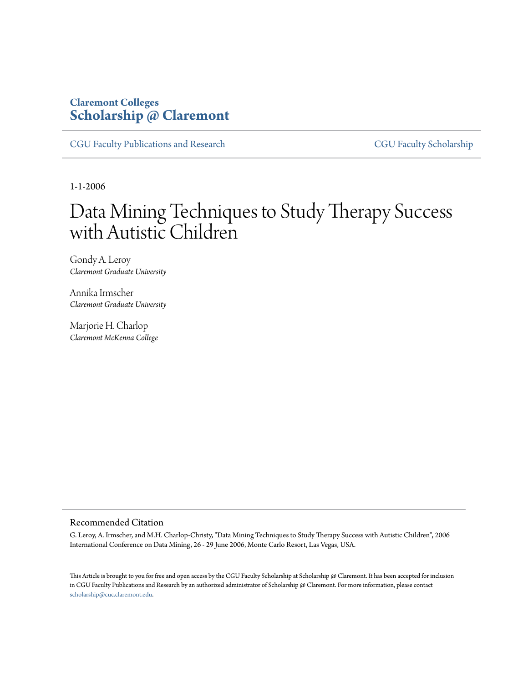# **Claremont Colleges [Scholarship @ Claremont](http://scholarship.claremont.edu)**

[CGU Faculty Publications and Research](http://scholarship.claremont.edu/cgu_fac_pub) [CGU Faculty Scholarship](http://scholarship.claremont.edu/cgu_faculty)

1-1-2006

# Data Mining Techniques to Study Therapy Success with Autistic Children

Gondy A. Leroy *Claremont Graduate University*

Annika Irmscher *Claremont Graduate University*

Marjorie H. Charlop *Claremont McKenna College*

# Recommended Citation

G. Leroy, A. Irmscher, and M.H. Charlop-Christy, "Data Mining Techniques to Study Therapy Success with Autistic Children", 2006 International Conference on Data Mining, 26 - 29 June 2006, Monte Carlo Resort, Las Vegas, USA.

This Article is brought to you for free and open access by the CGU Faculty Scholarship at Scholarship @ Claremont. It has been accepted for inclusion in CGU Faculty Publications and Research by an authorized administrator of Scholarship @ Claremont. For more information, please contact [scholarship@cuc.claremont.edu.](mailto:scholarship@cuc.claremont.edu)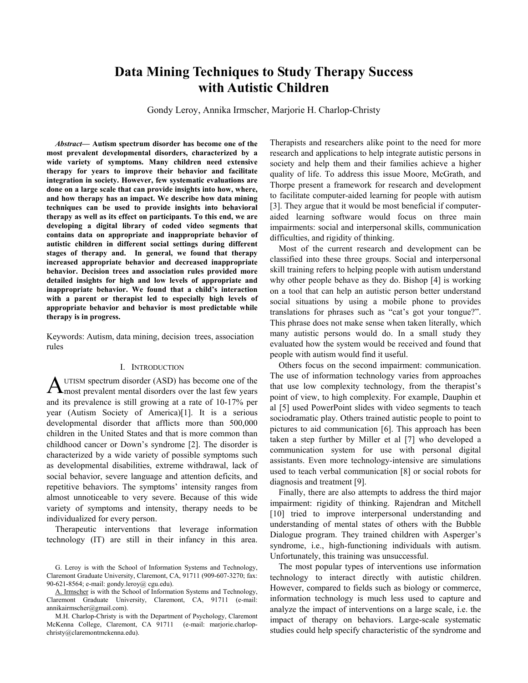# **Data Mining Techniques to Study Therapy Success with Autistic Children**

Gondy Leroy, Annika Irmscher, Marjorie H. Charlop-Christy

*Abstract***— Autism spectrum disorder has become one of the most prevalent developmental disorders, characterized by a wide variety of symptoms. Many children need extensive therapy for years to improve their behavior and facilitate integration in society. However, few systematic evaluations are done on a large scale that can provide insights into how, where, and how therapy has an impact. We describe how data mining techniques can be used to provide insights into behavioral therapy as well as its effect on participants. To this end, we are developing a digital library of coded video segments that contains data on appropriate and inappropriate behavior of autistic children in different social settings during different stages of therapy and. In general, we found that therapy increased appropriate behavior and decreased inappropriate behavior. Decision trees and association rules provided more detailed insights for high and low levels of appropriate and inappropriate behavior. We found that a child's interaction with a parent or therapist led to especially high levels of appropriate behavior and behavior is most predictable while therapy is in progress.**

Keywords: Autism, data mining, decision trees, association rules

#### I. INTRODUCTION

AUTISM spectrum disorder (ASD) has become one of the most prevalent mental disorders over the last few years and its prevalence is still growing at a rate of 10-17% per year (Autism Society of America)[1]. It is a serious developmental disorder that afflicts more than 500,000 children in the United States and that is more common than childhood cancer or Down's syndrome [2]. The disorder is characterized by a wide variety of possible symptoms such as developmental disabilities, extreme withdrawal, lack of social behavior, severe language and attention deficits, and repetitive behaviors. The symptoms' intensity ranges from almost unnoticeable to very severe. Because of this wide variety of symptoms and intensity, therapy needs to be individualized for every person.

Therapeutic interventions that leverage information technology (IT) are still in their infancy in this area.

A. Irmscher is with the School of Information Systems and Technology, Claremont Graduate University, Claremont, CA, 91711 (e-mail: annikairmscher@gmail.com).

Therapists and researchers alike point to the need for more research and applications to help integrate autistic persons in society and help them and their families achieve a higher quality of life. To address this issue Moore, McGrath, and Thorpe present a framework for research and development to facilitate computer-aided learning for people with autism [3]. They argue that it would be most beneficial if computeraided learning software would focus on three main impairments: social and interpersonal skills, communication difficulties, and rigidity of thinking.

Most of the current research and development can be classified into these three groups. Social and interpersonal skill training refers to helping people with autism understand why other people behave as they do. Bishop [4] is working on a tool that can help an autistic person better understand social situations by using a mobile phone to provides translations for phrases such as "cat's got your tongue?". This phrase does not make sense when taken literally, which many autistic persons would do. In a small study they evaluated how the system would be received and found that people with autism would find it useful.

Others focus on the second impairment: communication. The use of information technology varies from approaches that use low complexity technology, from the therapist's point of view, to high complexity. For example, Dauphin et al [5] used PowerPoint slides with video segments to teach sociodramatic play. Others trained autistic people to point to pictures to aid communication [6]. This approach has been taken a step further by Miller et al [7] who developed a communication system for use with personal digital assistants. Even more technology-intensive are simulations used to teach verbal communication [8] or social robots for diagnosis and treatment [9].

Finally, there are also attempts to address the third major impairment: rigidity of thinking. Rajendran and Mitchell [10] tried to improve interpersonal understanding and understanding of mental states of others with the Bubble Dialogue program. They trained children with Asperger's syndrome, i.e., high-functioning individuals with autism. Unfortunately, this training was unsuccessful.

The most popular types of interventions use information technology to interact directly with autistic children. However, compared to fields such as biology or commerce, information technology is much less used to capture and analyze the impact of interventions on a large scale, i.e. the impact of therapy on behaviors. Large-scale systematic studies could help specify characteristic of the syndrome and

G. Leroy is with the School of Information Systems and Technology, Claremont Graduate University, Claremont, CA, 91711 (909-607-3270; fax: 90-621-8564; e-mail: gondy.leroy@ cgu.edu).

M.H. Charlop-Christy is with the Department of Psychology, Claremont McKenna College, Claremont, CA 91711 (e-mail: marjorie.charlopchristy@claremontmckenna.edu).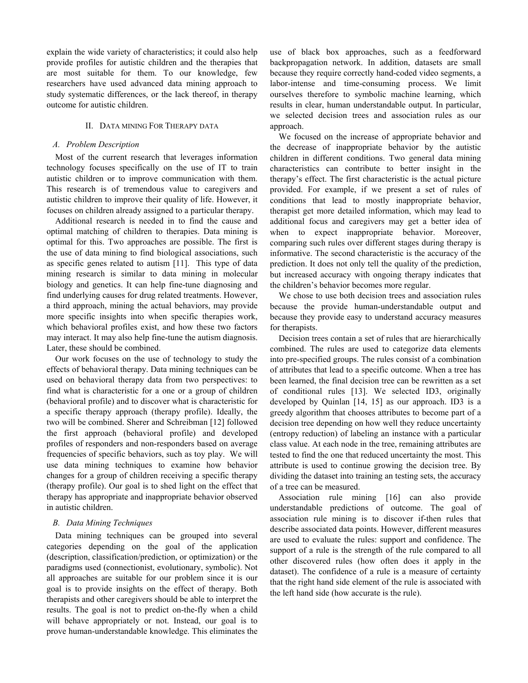explain the wide variety of characteristics; it could also help provide profiles for autistic children and the therapies that are most suitable for them. To our knowledge, few researchers have used advanced data mining approach to study systematic differences, or the lack thereof, in therapy outcome for autistic children.

## II. DATA MINING FOR THERAPY DATA

#### *A. Problem Description*

Most of the current research that leverages information technology focuses specifically on the use of IT to train autistic children or to improve communication with them. This research is of tremendous value to caregivers and autistic children to improve their quality of life. However, it focuses on children already assigned to a particular therapy.

Additional research is needed in to find the cause and optimal matching of children to therapies. Data mining is optimal for this. Two approaches are possible. The first is the use of data mining to find biological associations, such as specific genes related to autism [11]. This type of data mining research is similar to data mining in molecular biology and genetics. It can help fine-tune diagnosing and find underlying causes for drug related treatments. However, a third approach, mining the actual behaviors, may provide more specific insights into when specific therapies work, which behavioral profiles exist, and how these two factors may interact. It may also help fine-tune the autism diagnosis. Later, these should be combined.

Our work focuses on the use of technology to study the effects of behavioral therapy. Data mining techniques can be used on behavioral therapy data from two perspectives: to find what is characteristic for a one or a group of children (behavioral profile) and to discover what is characteristic for a specific therapy approach (therapy profile). Ideally, the two will be combined. Sherer and Schreibman [12] followed the first approach (behavioral profile) and developed profiles of responders and non-responders based on average frequencies of specific behaviors, such as toy play. We will use data mining techniques to examine how behavior changes for a group of children receiving a specific therapy (therapy profile). Our goal is to shed light on the effect that therapy has appropriate and inappropriate behavior observed in autistic children.

# *B. Data Mining Techniques*

Data mining techniques can be grouped into several categories depending on the goal of the application (description, classification/prediction, or optimization) or the paradigms used (connectionist, evolutionary, symbolic). Not all approaches are suitable for our problem since it is our goal is to provide insights on the effect of therapy. Both therapists and other caregivers should be able to interpret the results. The goal is not to predict on-the-fly when a child will behave appropriately or not. Instead, our goal is to prove human-understandable knowledge. This eliminates the

use of black box approaches, such as a feedforward backpropagation network. In addition, datasets are small because they require correctly hand-coded video segments, a labor-intense and time-consuming process. We limit ourselves therefore to symbolic machine learning, which results in clear, human understandable output. In particular, we selected decision trees and association rules as our approach.

We focused on the increase of appropriate behavior and the decrease of inappropriate behavior by the autistic children in different conditions. Two general data mining characteristics can contribute to better insight in the therapy's effect. The first characteristic is the actual picture provided. For example, if we present a set of rules of conditions that lead to mostly inappropriate behavior, therapist get more detailed information, which may lead to additional focus and caregivers may get a better idea of when to expect inappropriate behavior. Moreover, comparing such rules over different stages during therapy is informative. The second characteristic is the accuracy of the prediction. It does not only tell the quality of the prediction, but increased accuracy with ongoing therapy indicates that the children's behavior becomes more regular.

We chose to use both decision trees and association rules because the provide human-understandable output and because they provide easy to understand accuracy measures for therapists.

Decision trees contain a set of rules that are hierarchically combined. The rules are used to categorize data elements into pre-specified groups. The rules consist of a combination of attributes that lead to a specific outcome. When a tree has been learned, the final decision tree can be rewritten as a set of conditional rules [13]. We selected ID3, originally developed by Quinlan [14, 15] as our approach. ID3 is a greedy algorithm that chooses attributes to become part of a decision tree depending on how well they reduce uncertainty (entropy reduction) of labeling an instance with a particular class value. At each node in the tree, remaining attributes are tested to find the one that reduced uncertainty the most. This attribute is used to continue growing the decision tree. By dividing the dataset into training an testing sets, the accuracy of a tree can be measured.

Association rule mining [16] can also provide understandable predictions of outcome. The goal of association rule mining is to discover if-then rules that describe associated data points. However, different measures are used to evaluate the rules: support and confidence. The support of a rule is the strength of the rule compared to all other discovered rules (how often does it apply in the dataset). The confidence of a rule is a measure of certainty that the right hand side element of the rule is associated with the left hand side (how accurate is the rule).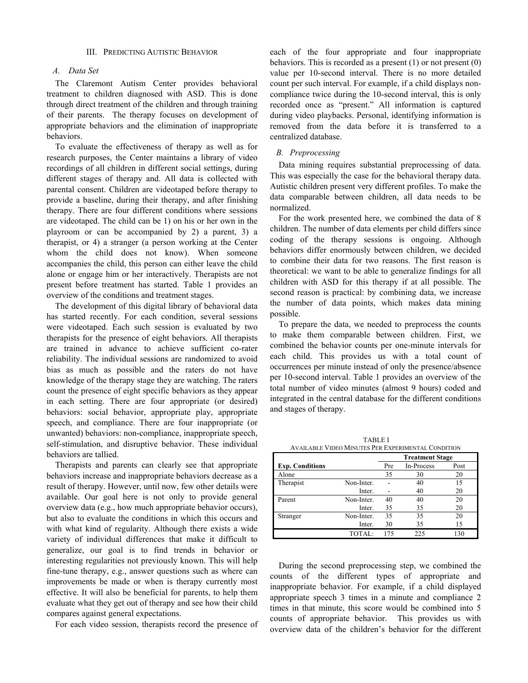#### III. PREDICTING AUTISTIC BEHAVIOR

# *A. Data Set*

The Claremont Autism Center provides behavioral treatment to children diagnosed with ASD. This is done through direct treatment of the children and through training of their parents. The therapy focuses on development of appropriate behaviors and the elimination of inappropriate behaviors.

To evaluate the effectiveness of therapy as well as for research purposes, the Center maintains a library of video recordings of all children in different social settings, during different stages of therapy and. All data is collected with parental consent. Children are videotaped before therapy to provide a baseline, during their therapy, and after finishing therapy. There are four different conditions where sessions are videotaped. The child can be 1) on his or her own in the playroom or can be accompanied by 2) a parent, 3) a therapist, or 4) a stranger (a person working at the Center whom the child does not know). When someone accompanies the child, this person can either leave the child alone or engage him or her interactively. Therapists are not present before treatment has started. Table 1 provides an overview of the conditions and treatment stages.

The development of this digital library of behavioral data has started recently. For each condition, several sessions were videotaped. Each such session is evaluated by two therapists for the presence of eight behaviors. All therapists are trained in advance to achieve sufficient co-rater reliability. The individual sessions are randomized to avoid bias as much as possible and the raters do not have knowledge of the therapy stage they are watching. The raters count the presence of eight specific behaviors as they appear in each setting. There are four appropriate (or desired) behaviors: social behavior, appropriate play, appropriate speech, and compliance. There are four inappropriate (or unwanted) behaviors: non-compliance, inappropriate speech, self-stimulation, and disruptive behavior. These individual behaviors are tallied.

Therapists and parents can clearly see that appropriate behaviors increase and inappropriate behaviors decrease as a result of therapy. However, until now, few other details were available. Our goal here is not only to provide general overview data (e.g., how much appropriate behavior occurs), but also to evaluate the conditions in which this occurs and with what kind of regularity. Although there exists a wide variety of individual differences that make it difficult to generalize, our goal is to find trends in behavior or interesting regularities not previously known. This will help fine-tune therapy, e.g., answer questions such as where can improvements be made or when is therapy currently most effective. It will also be beneficial for parents, to help them evaluate what they get out of therapy and see how their child compares against general expectations.

For each video session, therapists record the presence of

each of the four appropriate and four inappropriate behaviors. This is recorded as a present (1) or not present (0) value per 10-second interval. There is no more detailed count per such interval. For example, if a child displays noncompliance twice during the 10-second interval, this is only recorded once as "present." All information is captured during video playbacks. Personal, identifying information is removed from the data before it is transferred to a centralized database.

#### *B. Preprocessing*

Data mining requires substantial preprocessing of data. This was especially the case for the behavioral therapy data. Autistic children present very different profiles. To make the data comparable between children, all data needs to be normalized.

For the work presented here, we combined the data of 8 children. The number of data elements per child differs since coding of the therapy sessions is ongoing. Although behaviors differ enormously between children, we decided to combine their data for two reasons. The first reason is theoretical: we want to be able to generalize findings for all children with ASD for this therapy if at all possible. The second reason is practical: by combining data, we increase the number of data points, which makes data mining possible.

To prepare the data, we needed to preprocess the counts to make them comparable between children. First, we combined the behavior counts per one-minute intervals for each child. This provides us with a total count of occurrences per minute instead of only the presence/absence per 10-second interval. Table 1 provides an overview of the total number of video minutes (almost 9 hours) coded and integrated in the central database for the different conditions and stages of therapy.

TABLE I AVAILABLE VIDEO MINUTES PER EXPERIMENTAL CONDITION

|                        |            | <b>Treatment Stage</b> |            |      |
|------------------------|------------|------------------------|------------|------|
| <b>Exp. Conditions</b> |            | Pre                    | In-Process | Post |
| Alone                  |            | 35                     | 30         | 20   |
| Therapist              | Non-Inter. |                        | 40         | 15   |
|                        | Inter.     |                        | 40         | 20   |
| Parent                 | Non-Inter. | 40                     | 40         | 20   |
|                        | Inter.     | 35                     | 35         | 20   |
| Stranger               | Non-Inter. | 35                     | 35         | 20   |
|                        | Inter.     | 30                     | 35         | 15   |
|                        | TOTAL:     | 175                    | 225        | 130  |

During the second preprocessing step, we combined the counts of the different types of appropriate and inappropriate behavior. For example, if a child displayed appropriate speech 3 times in a minute and compliance 2 times in that minute, this score would be combined into 5 counts of appropriate behavior. This provides us with overview data of the children's behavior for the different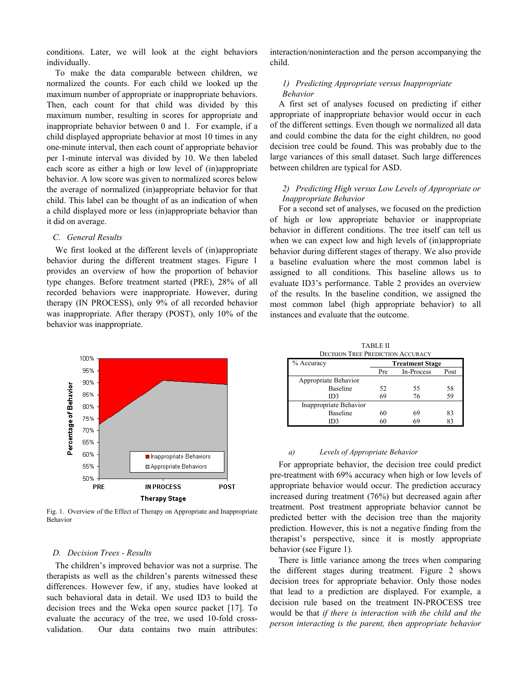conditions. Later, we will look at the eight behaviors individually.

To make the data comparable between children, we normalized the counts. For each child we looked up the maximum number of appropriate or inappropriate behaviors. Then, each count for that child was divided by this maximum number, resulting in scores for appropriate and inappropriate behavior between 0 and 1. For example, if a child displayed appropriate behavior at most 10 times in any one-minute interval, then each count of appropriate behavior per 1-minute interval was divided by 10. We then labeled each score as either a high or low level of (in)appropriate behavior. A low score was given to normalized scores below the average of normalized (in)appropriate behavior for that child. This label can be thought of as an indication of when a child displayed more or less (in)appropriate behavior than it did on average.

# *C. General Results*

We first looked at the different levels of (in)appropriate behavior during the different treatment stages. Figure 1 provides an overview of how the proportion of behavior type changes. Before treatment started (PRE), 28% of all recorded behaviors were inappropriate. However, during therapy (IN PROCESS), only 9% of all recorded behavior was inappropriate. After therapy (POST), only 10% of the behavior was inappropriate.



Fig. 1. Overview of the Effect of Therapy on Appropriate and Inappropriate Behavior

#### *D. Decision Trees - Results*

The children's improved behavior was not a surprise. The therapists as well as the children's parents witnessed these differences. However few, if any, studies have looked at such behavioral data in detail. We used ID3 to build the decision trees and the Weka open source packet [17]. To evaluate the accuracy of the tree, we used 10-fold crossvalidation. Our data contains two main attributes:

interaction/noninteraction and the person accompanying the child.

## *1) Predicting Appropriate versus Inappropriate Behavior*

A first set of analyses focused on predicting if either appropriate of inappropriate behavior would occur in each of the different settings. Even though we normalized all data and could combine the data for the eight children, no good decision tree could be found. This was probably due to the large variances of this small dataset. Such large differences between children are typical for ASD.

# *2) Predicting High versus Low Levels of Appropriate or Inappropriate Behavior*

For a second set of analyses, we focused on the prediction of high or low appropriate behavior or inappropriate behavior in different conditions. The tree itself can tell us when we can expect low and high levels of (in)appropriate behavior during different stages of therapy. We also provide a baseline evaluation where the most common label is assigned to all conditions. This baseline allows us to evaluate ID3's performance. Table 2 provides an overview of the results. In the baseline condition, we assigned the most common label (high appropriate behavior) to all instances and evaluate that the outcome.

| <b>TABLE II</b>                          |  |  |  |  |  |
|------------------------------------------|--|--|--|--|--|
| <b>DECISION TREE PREDICTION ACCURACY</b> |  |  |  |  |  |

| % Accuracy             | <b>Treatment Stage</b> |            |      |  |
|------------------------|------------------------|------------|------|--|
|                        | Pre                    | In-Process | Post |  |
| Appropriate Behavior   |                        |            |      |  |
| Baseline               | 52                     | 55         | 58   |  |
| ID3                    | 69                     | 76         | 59   |  |
| Inappropriate Behavior |                        |            |      |  |
| Baseline               | 60                     | 69         | 83   |  |
| ID3                    | 60                     | 69         |      |  |

#### *a) Levels of Appropriate Behavior*

For appropriate behavior, the decision tree could predict pre-treatment with 69% accuracy when high or low levels of appropriate behavior would occur. The prediction accuracy increased during treatment (76%) but decreased again after treatment. Post treatment appropriate behavior cannot be predicted better with the decision tree than the majority prediction. However, this is not a negative finding from the therapist's perspective, since it is mostly appropriate behavior (see Figure 1).

There is little variance among the trees when comparing the different stages during treatment. Figure 2 shows decision trees for appropriate behavior. Only those nodes that lead to a prediction are displayed. For example, a decision rule based on the treatment IN-PROCESS tree would be that *if there is interaction with the child and the person interacting is the parent, then appropriate behavior*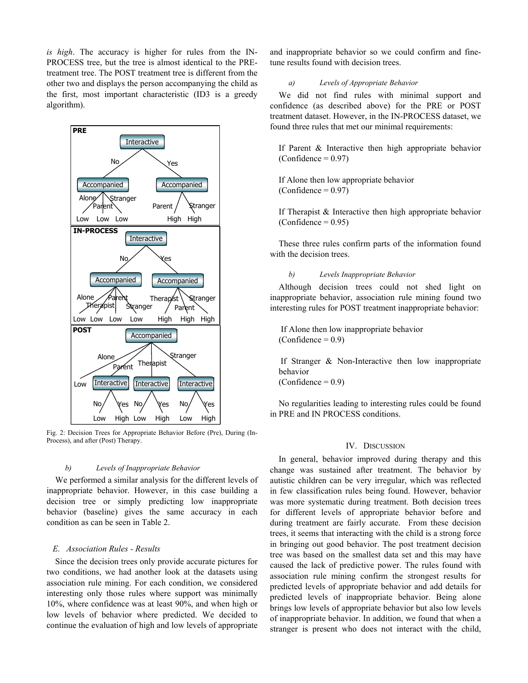*is high*. The accuracy is higher for rules from the IN-PROCESS tree, but the tree is almost identical to the PREtreatment tree. The POST treatment tree is different from the other two and displays the person accompanying the child as the first, most important characteristic (ID3 is a greedy algorithm).



Fig. 2: Decision Trees for Appropriate Behavior Before (Pre), During (In-Process), and after (Post) Therapy.

#### *b) Levels of Inappropriate Behavior*

We performed a similar analysis for the different levels of inappropriate behavior. However, in this case building a decision tree or simply predicting low inappropriate behavior (baseline) gives the same accuracy in each condition as can be seen in Table 2.

#### *E. Association Rules - Results*

Since the decision trees only provide accurate pictures for two conditions, we had another look at the datasets using association rule mining. For each condition, we considered interesting only those rules where support was minimally 10%, where confidence was at least 90%, and when high or low levels of behavior where predicted. We decided to continue the evaluation of high and low levels of appropriate

and inappropriate behavior so we could confirm and finetune results found with decision trees.

# *a) Levels of Appropriate Behavior*

We did not find rules with minimal support and confidence (as described above) for the PRE or POST treatment dataset. However, in the IN-PROCESS dataset, we found three rules that met our minimal requirements:

If Parent & Interactive then high appropriate behavior  $(Confidence = 0.97)$ 

If Alone then low appropriate behavior  $(Confidence = 0.97)$ 

If Therapist & Interactive then high appropriate behavior  $(Confidence = 0.95)$ 

These three rules confirm parts of the information found with the decision trees.

#### *b) Levels Inappropriate Behavior*

Although decision trees could not shed light on inappropriate behavior, association rule mining found two interesting rules for POST treatment inappropriate behavior:

 If Alone then low inappropriate behavior  $(Confidence = 0.9)$ 

If Stranger & Non-Interactive then low inappropriate behavior

 $(Confidence = 0.9)$ 

No regularities leading to interesting rules could be found in PRE and IN PROCESS conditions.

# IV. DISCUSSION

In general, behavior improved during therapy and this change was sustained after treatment. The behavior by autistic children can be very irregular, which was reflected in few classification rules being found. However, behavior was more systematic during treatment. Both decision trees for different levels of appropriate behavior before and during treatment are fairly accurate. From these decision trees, it seems that interacting with the child is a strong force in bringing out good behavior. The post treatment decision tree was based on the smallest data set and this may have caused the lack of predictive power. The rules found with association rule mining confirm the strongest results for predicted levels of appropriate behavior and add details for predicted levels of inappropriate behavior. Being alone brings low levels of appropriate behavior but also low levels of inappropriate behavior. In addition, we found that when a stranger is present who does not interact with the child,